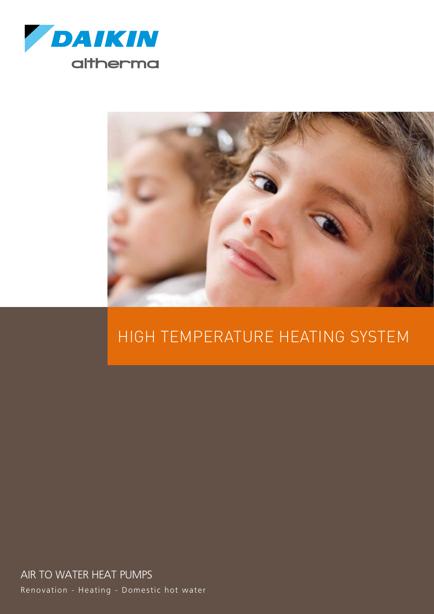



### High temperature heating system

Renovation - Heating - Domestic hot water AIR TO WATER HEAT PUMPS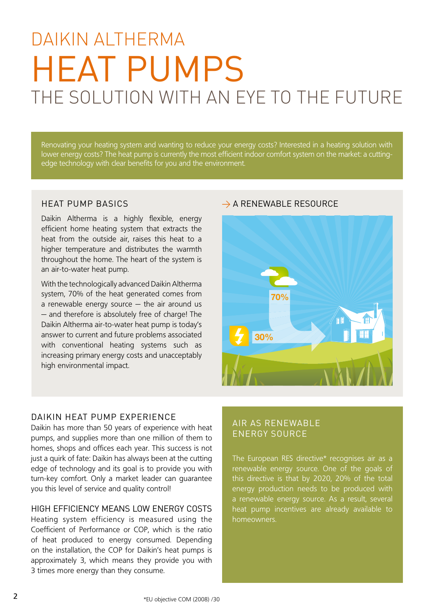## THE SOI UTION WITH AN EYE TO THE FUTURE DAIKIN AI THERMA Heat pumps

Renovating your heating system and wanting to reduce your energy costs? Interested in a heating solution with lower energy costs? The heat pump is currently the most efficient indoor comfort system on the market: a cuttingedge technology with clear benefits for you and the environment.

Daikin Altherma is a highly flexible, energy efficient home heating system that extracts the heat from the outside air, raises this heat to a higher temperature and distributes the warmth throughout the home. The heart of the system is an air-to-water heat pump.

With the technologically advanced Daikin Altherma system, 70% of the heat generated comes from a renewable energy source – the air around us − and therefore is absolutely free of charge! The Daikin Altherma air-to-water heat pump is today's answer to current and future problems associated with conventional heating systems such as increasing primary energy costs and unacceptably high environmental impact.

### HEAT PUMP BASICS  $\rightarrow$  A RENEWABLE RESOURCE



### Daikin heat pump experience

Daikin has more than 50 years of experience with heat pumps, and supplies more than one million of them to homes, shops and offices each year. This success is not just a quirk of fate: Daikin has always been at the cutting edge of technology and its goal is to provide you with turn-key comfort. Only a market leader can guarantee you this level of service and quality control!

### High efficiency means low energy costs

Heating system efficiency is measured using the Coefficient of Performance or COP, which is the ratio of heat produced to energy consumed. Depending on the installation, the COP for Daikin's heat pumps is approximately 3, which means they provide you with 3 times more energy than they consume.

### Air as renewable energy source

The European RES directive\* recognises air as a renewable energy source. One of the goals of this directive is that by 2020, 20% of the total energy production needs to be produced with a renewable energy source. As a result, several heat pump incentives are already available to homeowners.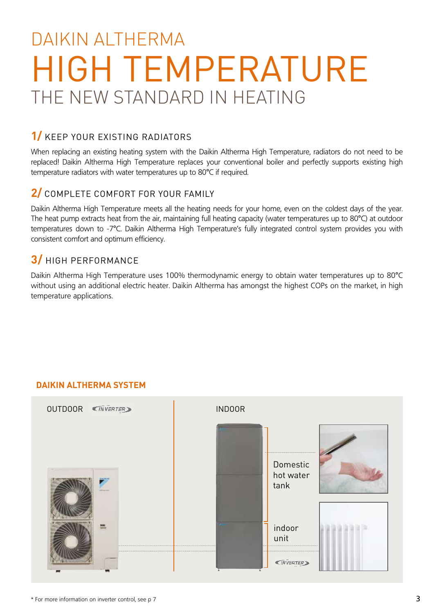## The new standard in heating DAIKIN AI THERMA High Temperature

### **1/** Keep your existing radiators

When replacing an existing heating system with the Daikin Altherma High Temperature, radiators do not need to be replaced! Daikin Altherma High Temperature replaces your conventional boiler and perfectly supports existing high temperature radiators with water temperatures up to 80°C if required.

### **2/** Complete comfort for your family

Daikin Altherma High Temperature meets all the heating needs for your home, even on the coldest days of the year. The heat pump extracts heat from the air, maintaining full heating capacity (water temperatures up to 80°C) at outdoor temperatures down to -7°C. Daikin Altherma High Temperature's fully integrated control system provides you with consistent comfort and optimum efficiency.

### **3/** High performance

Daikin Altherma High Temperature uses 100% thermodynamic energy to obtain water temperatures up to 80°C without using an additional electric heater. Daikin Altherma has amongst the highest COPs on the market, in high temperature applications.

### **Daikin Altherma system**

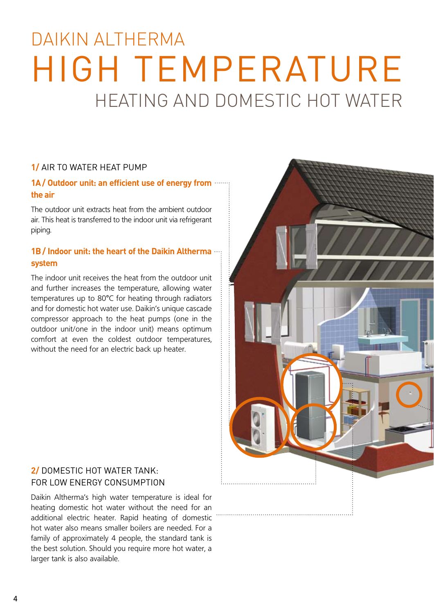## heating and domestic hot water DAIKIN ALTHERMA high temperature

### **1/** Air to water heat pump

### **1A  / Outdoor unit: an efficient use of energy from the air**

The outdoor unit extracts heat from the ambient outdoor air. This heat is transferred to the indoor unit via refrigerant piping.

### **1B / Indoor unit: the heart of the Daikin Altherma system**

The indoor unit receives the heat from the outdoor unit and further increases the temperature, allowing water temperatures up to 80°C for heating through radiators and for domestic hot water use. Daikin's unique cascade compressor approach to the heat pumps (one in the outdoor unit/one in the indoor unit) means optimum comfort at even the coldest outdoor temperatures, without the need for an electric back up heater.

### **2/** Domestic hot water tank: for low energy consumption

Daikin Altherma's high water temperature is ideal for heating domestic hot water without the need for an additional electric heater. Rapid heating of domestic hot water also means smaller boilers are needed. For a family of approximately 4 people, the standard tank is the best solution. Should you require more hot water, a larger tank is also available.

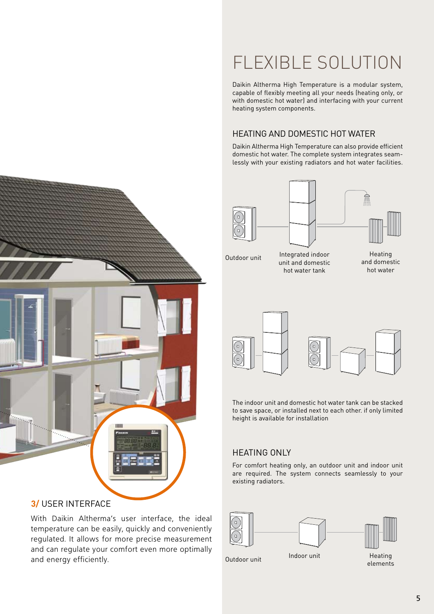## Flexible solution

Daikin Altherma High Temperature is a modular system, capable of flexibly meeting all your needs (heating only, or with domestic hot water) and interfacing with your current heating system components.

### Heating and domestic hot water

Daikin Altherma High Temperature can also provide efficient domestic hot water. The complete system integrates seamlessly with your existing radiators and hot water facilities.



Outdoor unit

Integrated indoor unit and domestic hot water tank

**Heating** and domestic hot water



The indoor unit and domestic hot water tank can be stacked to save space, or installed next to each other. if only limited height is available for installation

### Heating only

For comfort heating only, an outdoor unit and indoor unit are required. The system connects seamlessly to your existing radiators.



Outdoor unit

**Heating** elements



### **3/** User interface

With Daikin Altherma's user interface, the ideal temperature can be easily, quickly and conveniently regulated. It allows for more precise measurement and can regulate your comfort even more optimally and energy efficiently.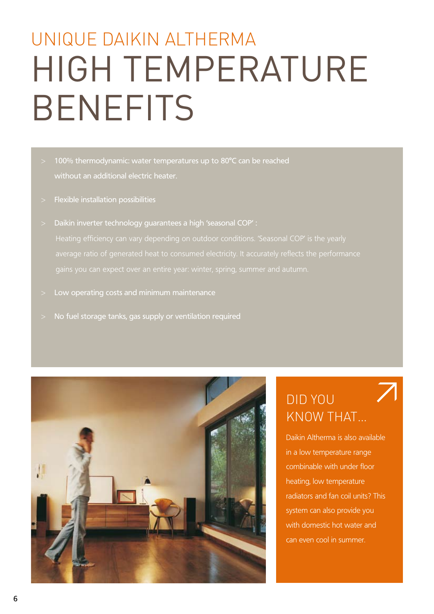# high temperature **BENEFITS** Unique daikin Altherma

- 100% thermodynamic: water temperatures up to 80°C can be reached without an additional electric heater.
- > Flexible installation possibilities
- > Daikin inverter technology guarantees a high 'seasonal COP' : average ratio of generated heat to consumed electricity. It accurately reflects the performance
- > Low operating costs and minimum maintenance
- No fuel storage tanks, gas supply or ventilation required



### Did you know that…

Daikin Altherma is also available in a low temperature range combinable with under floor heating, low temperature radiators and fan coil units? This system can also provide you with domestic hot water and can even cool in summer.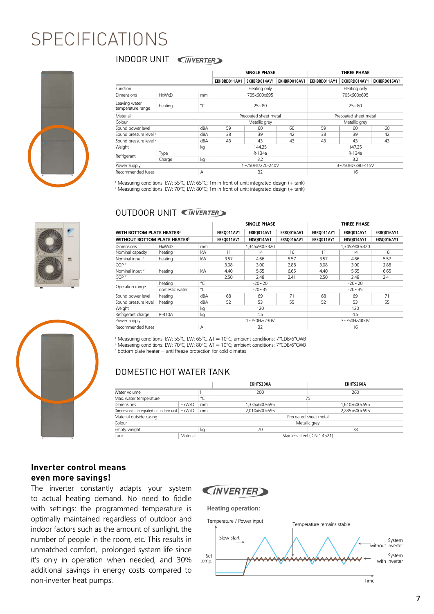### SPECIFICATIONS

INDOOR UNIT WERTER



|                                          |              |        | <b>SINGLE PHASE</b>   |              |              | <b>THREE PHASE</b>    |              |              |
|------------------------------------------|--------------|--------|-----------------------|--------------|--------------|-----------------------|--------------|--------------|
|                                          |              |        | EKHBRD011AV1          | EKHBRD014AV1 | EKHBRD016AV1 | EKHBRD011AY1          | EKHBRD014AY1 | EKHBRD016AY1 |
| Function                                 |              |        | Heating only          |              |              | Heating only          |              |              |
| <b>Dimensions</b>                        | <b>HxWxD</b> | mm     | 705x600x695           |              |              | 705x600x695           |              |              |
| Leaving water<br>temperature range       | heating      | °C     | $25 - 80$             |              |              | $25 - 80$             |              |              |
| Material                                 |              |        | Precoated sheet metal |              |              | Precoated sheet metal |              |              |
| Colour                                   |              |        | Metallic grey         |              |              | Metallic grey         |              |              |
| Sound power level                        |              | dBA    | 59                    | 60           | 60           | 59                    | 60           | 60           |
| Sound pressure level <sup>1</sup><br>dBA |              |        | 38                    | 39           | 42           | 38                    | 39           | 42           |
| Sound pressure level <sup>2</sup>        |              | dBA    | 43                    | 43           | 43           | 43                    | 43           | 43           |
| Weight<br>kg                             |              | 144.25 |                       |              | 147.25       |                       |              |              |
| Refrigerant                              | Type         |        | R-134a                |              |              | R-134a                |              |              |
|                                          | Charge       | kg     | 3.2                   |              |              | 3.2                   |              |              |
| Power supply                             |              |        | 1~/50Hz/220-240V      |              |              | 3~/50Hz/380-415V      |              |              |
| Recommended fuses<br>A                   |              | 32     |                       |              | 16           |                       |              |              |

1 Measuring conditions: EW: 55°C, LW: 65°C; 1m in front of unit; integrated design (+ tank) 2 Measuring conditions: EW: 70°C, LW: 80°C; 1m in front of unit; integrated design (+ tank)

### OUTDOOR UNIT **WERTER**



<sup>1</sup> Measuring conditions: EW: 55℃, LW: 65℃, ∆T = 10℃; ambient conditions: 7°CDB/6°CWB <sup>2</sup> Measering conditions: EW: 70°C, LW: 80°C,  $\Delta T = 10$ °C; ambient conditions: 7°CDB/6°CWB <sup>3</sup> bottom plate heater = anti freeze protection for cold climates

### DOMESTIC HOT WATER TANK

|                                                |              |    | EKHTS200A                    | EKHTS260A     |  |  |
|------------------------------------------------|--------------|----|------------------------------|---------------|--|--|
| Water volume                                   |              |    | 200                          | 260           |  |  |
| $\circ$<br>Max. water temperature              |              |    | 75                           |               |  |  |
| <b>Dimensions</b>                              | <b>HxWxD</b> | mm | 1.335x600x695                | 1.610x600x695 |  |  |
| Dimensions - integrated on indoor unit   HxWxD |              | mm | 2.010x600x695                | 2.285x600x695 |  |  |
| Material outside casing                        |              |    | Precoated sheet metal        |               |  |  |
| Colour                                         |              |    | Metallic grey                |               |  |  |
| Empty weight                                   |              | kg | 70                           | 78            |  |  |
| Tank                                           | Material     |    | Stainless steel (DIN 1.4521) |               |  |  |

### **Inverter control means even more savings!**

The inverter constantly adapts your system to actual heating demand. No need to fiddle with settings: the programmed temperature is optimally maintained regardless of outdoor and indoor factors such as the amount of sunlight, the number of people in the room, etc. This results in unmatched comfort, prolonged system life since it's only in operation when needed, and 30% additional savings in energy costs compared to non-inverter heat pumps.